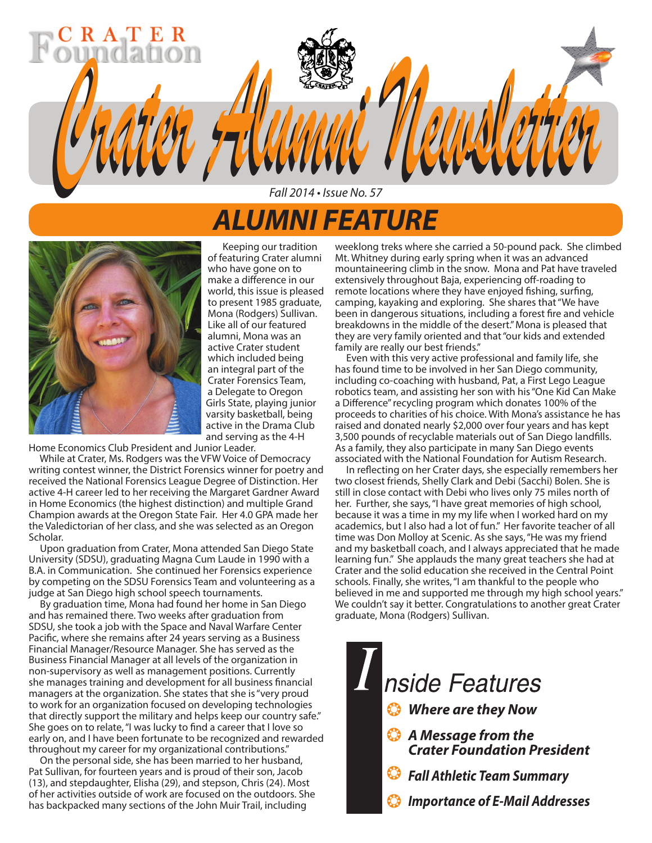# *ALUMNI FEATURE*

Fall 2014 • Issue No. 57

*Crater Alumni Newsletter Crater Alumni Newsletter*



 Keeping our tradition of featuring Crater alumni who have gone on to make a difference in our world, this issue is pleased to present 1985 graduate, Mona (Rodgers) Sullivan. Like all of our featured alumni, Mona was an active Crater student which included being an integral part of the Crater Forensics Team, a Delegate to Oregon Girls State, playing junior varsity basketball, being active in the Drama Club and serving as the 4-H

Home Economics Club President and Junior Leader.

 While at Crater, Ms. Rodgers was the VFW Voice of Democracy writing contest winner, the District Forensics winner for poetry and received the National Forensics League Degree of Distinction. Her active 4-H career led to her receiving the Margaret Gardner Award in Home Economics (the highest distinction) and multiple Grand Champion awards at the Oregon State Fair. Her 4.0 GPA made her the Valedictorian of her class, and she was selected as an Oregon Scholar.

 Upon graduation from Crater, Mona attended San Diego State University (SDSU), graduating Magna Cum Laude in 1990 with a B.A. in Communication. She continued her Forensics experience by competing on the SDSU Forensics Team and volunteering as a judge at San Diego high school speech tournaments.

 By graduation time, Mona had found her home in San Diego and has remained there. Two weeks after graduation from SDSU, she took a job with the Space and Naval Warfare Center Pacific, where she remains after 24 years serving as a Business Financial Manager/Resource Manager. She has served as the Business Financial Manager at all levels of the organization in non-supervisory as well as management positions. Currently she manages training and development for all business financial managers at the organization. She states that she is "very proud to work for an organization focused on developing technologies that directly support the military and helps keep our country safe." She goes on to relate, "I was lucky to find a career that I love so early on, and I have been fortunate to be recognized and rewarded throughout my career for my organizational contributions."

 On the personal side, she has been married to her husband, Pat Sullivan, for fourteen years and is proud of their son, Jacob (13), and stepdaughter, Elisha (29), and stepson, Chris (24). Most of her activities outside of work are focused on the outdoors. She has backpacked many sections of the John Muir Trail, including

weeklong treks where she carried a 50-pound pack. She climbed Mt. Whitney during early spring when it was an advanced mountaineering climb in the snow. Mona and Pat have traveled extensively throughout Baja, experiencing off-roading to remote locations where they have enjoyed fishing, surfing, camping, kayaking and exploring. She shares that "We have been in dangerous situations, including a forest fire and vehicle breakdowns in the middle of the desert." Mona is pleased that they are very family oriented and that "our kids and extended family are really our best friends."

 Even with this very active professional and family life, she has found time to be involved in her San Diego community, including co-coaching with husband, Pat, a First Lego League robotics team, and assisting her son with his "One Kid Can Make a Difference" recycling program which donates 100% of the proceeds to charities of his choice. With Mona's assistance he has raised and donated nearly \$2,000 over four years and has kept 3,500 pounds of recyclable materials out of San Diego landfills. As a family, they also participate in many San Diego events associated with the National Foundation for Autism Research.

 In reflecting on her Crater days, she especially remembers her two closest friends, Shelly Clark and Debi (Sacchi) Bolen. She is still in close contact with Debi who lives only 75 miles north of her. Further, she says, "I have great memories of high school, because it was a time in my my life when I worked hard on my academics, but I also had a lot of fun." Her favorite teacher of all time was Don Molloy at Scenic. As she says, "He was my friend and my basketball coach, and I always appreciated that he made learning fun." She applauds the many great teachers she had at Crater and the solid education she received in the Central Point schools. Finally, she writes, "I am thankful to the people who believed in me and supported me through my high school years." We couldn't say it better. Congratulations to another great Crater graduate, Mona (Rodgers) Sullivan.

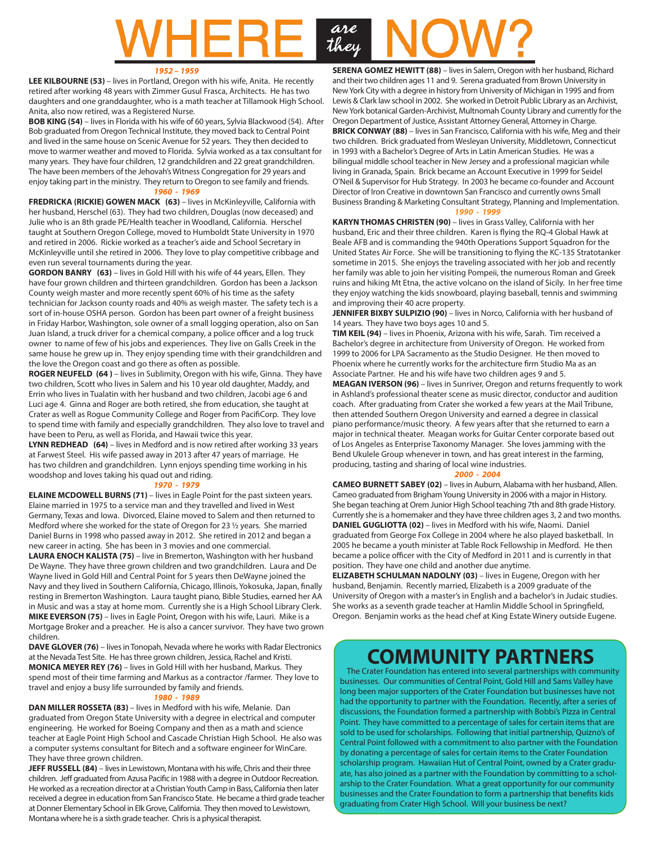# are<br>they HERI

#### *1952 – 1959*

**LEE KILBOURNE (53)** – lives in Portland, Oregon with his wife, Anita. He recently retired after working 48 years with Zimmer Gusul Frasca, Architects. He has two daughters and one granddaughter, who is a math teacher at Tillamook High School. Anita, also now retired, was a Registered Nurse.

**BOB KING (54)** – lives in Florida with his wife of 60 years, Sylvia Blackwood (54). After Bob graduated from Oregon Technical Institute, they moved back to Central Point and lived in the same house on Scenic Avenue for 52 years. They then decided to move to warmer weather and moved to Florida. Sylvia worked as a tax consultant for many years. They have four children, 12 grandchildren and 22 great grandchildren. The have been members of the Jehovah's Witness Congregation for 29 years and enjoy taking part in the ministry. They return to Oregon to see family and friends. *1960 - 1969*

**FREDRICKA (RICKIE) GOWEN MACK (63)** – lives in McKinleyville, California with her husband, Herschel (63). They had two children, Douglas (now deceased) and Julie who is an 8th grade PE/Health teacher in Woodland, California. Herschel taught at Southern Oregon College, moved to Humboldt State University in 1970 and retired in 2006. Rickie worked as a teacher's aide and School Secretary in McKinleyville until she retired in 2006. They love to play competitive cribbage and even run several tournaments during the year.

**GORDON BANRY (63)** – lives in Gold Hill with his wife of 44 years, Ellen. They have four grown children and thirteen grandchildren. Gordon has been a Jackson County weigh master and more recently spent 60% of his time as the safety technician for Jackson county roads and 40% as weigh master. The safety tech is a sort of in-house OSHA person. Gordon has been part owner of a freight business in Friday Harbor, Washington, sole owner of a small logging operation, also on San Juan Island, a truck driver for a chemical company, a police officer and a log truck owner to name of few of his jobs and experiences. They live on Galls Creek in the same house he grew up in. They enjoy spending time with their grandchildren and the love the Oregon coast and go there as often as possible.

**ROGER NEUFELD (64 )** – lives in Sublimity, Oregon with his wife, Ginna. They have two children, Scott who lives in Salem and his 10 year old daughter, Maddy, and Errin who lives in Tualatin with her husband and two children, Jacobi age 6 and Luci age 4. Ginna and Roger are both retired, she from education, she taught at Crater as well as Rogue Community College and Roger from PacifiCorp. They love to spend time with family and especially grandchildren. They also love to travel and have been to Peru, as well as Florida, and Hawaii twice this year.

**LYNN REDHEAD (64)** – lives in Medford and is now retired after working 33 years at Farwest Steel. His wife passed away in 2013 after 47 years of marriage. He has two children and grandchildren. Lynn enjoys spending time working in his woodshop and loves taking his quad out and riding.

#### *1970 - 1979*

**ELAINE MCDOWELL BURNS (71)** – lives in Eagle Point for the past sixteen years. Elaine married in 1975 to a service man and they travelled and lived in West Germany, Texas and Iowa. Divorced, Elaine moved to Salem and then returned to Medford where she worked for the state of Oregon for 23 ½ years. She married Daniel Burns in 1998 who passed away in 2012. She retired in 2012 and began a new career in acting. She has been in 3 movies and one commercial.

**LAURA ENOCH KALISTA (75)** – live in Bremerton, Washington with her husband De Wayne. They have three grown children and two grandchildren. Laura and De Wayne lived in Gold Hill and Central Point for 5 years then DeWayne joined the Navy and they lived in Southern California, Chicago, Illinois, Yokosuka, Japan, finally resting in Bremerton Washington. Laura taught piano, Bible Studies, earned her AA in Music and was a stay at home mom. Currently she is a High School Library Clerk. **MIKE EVERSON (75)** – lives in Eagle Point, Oregon with his wife, Lauri. Mike is a Mortgage Broker and a preacher. He is also a cancer survivor. They have two grown children.

**DAVE GLOVER (76)** – lives in Tonopah, Nevada where he works with Radar Electronics at the Nevada Test Site. He has three grown children, Jessica, Rachel and Kristi. **MONICA MEYER REY (76)** – lives in Gold Hill with her husband, Markus. They spend most of their time farming and Markus as a contractor /farmer. They love to travel and enjoy a busy life surrounded by family and friends.

#### *1980 - 1989*

**DAN MILLER ROSSETA (83)** – lives in Medford with his wife, Melanie. Dan graduated from Oregon State University with a degree in electrical and computer engineering. He worked for Boeing Company and then as a math and science teacher at Eagle Point High School and Cascade Christian High School. He also was a computer systems consultant for Bitech and a software engineer for WinCare. They have three grown children.

**JEFF RUSSELL (84)** – lives in Lewistown, Montana with his wife, Chris and their three children. Jeff graduated from Azusa Pacific in 1988 with a degree in Outdoor Recreation. He worked as a recreation director at a Christian Youth Camp in Bass, California then later received a degree in education from San Francisco State. He became a third grade teacher at Donner Elementary School in Elk Grove, California. They then moved to Lewistown, Montana where he is a sixth grade teacher. Chris is a physical therapist.

**SERENA GOMEZ HEWITT (88)** - lives in Salem, Oregon with her husband, Richard and their two children ages 11 and 9. Serena graduated from Brown University in New York City with a degree in history from University of Michigan in 1995 and from Lewis & Clark law school in 2002. She worked in Detroit Public Library as an Archivist, New York botanical Garden-Archivist, Multnomah County Library and currently for the Oregon Department of Justice, Assistant Attorney General, Attorney in Charge. **BRICK CONWAY (88)** – lives in San Francisco, California with his wife, Meg and their two children. Brick graduated from Wesleyan University, Middletown, Connecticut in 1993 with a Bachelor's Degree of Arts in Latin American Studies. He was a bilingual middle school teacher in New Jersey and a professional magician while living in Granada, Spain. Brick became an Account Executive in 1999 for Seidel O'Neil & Supervisor for Hub Strategy. In 2003 he became co-founder and Account Director of Iron Creative in downtown San Francisco and currently owns Small Business Branding & Marketing Consultant Strategy, Planning and Implementation. *1990 - 1999*

**KARYN THOMAS CHRISTEN (90)** – lives in Grass Valley, California with her husband, Eric and their three children. Karen is flying the RQ-4 Global Hawk at Beale AFB and is commanding the 940th Operations Support Squadron for the United States Air Force. She will be transitioning to flying the KC-135 Stratotanker sometime in 2015. She enjoys the traveling associated with her job and recently her family was able to join her visiting Pompeii, the numerous Roman and Greek ruins and hiking Mt Etna, the active volcano on the island of Sicily. In her free time they enjoy watching the kids snowboard, playing baseball, tennis and swimming and improving their 40 acre property.

JENNIFER BIXBY SULPIZIO (90) – lives in Norco, California with her husband of 14 years. They have two boys ages 10 and 5.

**TIM KEIL (94)** – lives in Phoenix, Arizona with his wife, Sarah. Tim received a Bachelor's degree in architecture from University of Oregon. He worked from 1999 to 2006 for LPA Sacramento as the Studio Designer. He then moved to Phoenix where he currently works for the architecture firm Studio Ma as an Associate Partner. He and his wife have two children ages 9 and 5.

**MEAGAN IVERSON (96)** – lives in Sunriver, Oregon and returns frequently to work in Ashland's professional theater scene as music director, conductor and audition coach. After graduating from Crater she worked a few years at the Mail Tribune, then attended Southern Oregon University and earned a degree in classical piano performance/music theory. A few years after that she returned to earn a major in technical theater. Meagan works for Guitar Center corporate based out of Los Angeles as Enterprise Taxonomy Manager. She loves jamming with the Bend Ukulele Group whenever in town, and has great interest in the farming, producing, tasting and sharing of local wine industries.

#### *2000 - 2004*

**CAMEO BURNETT SABEY (02)** – lives in Auburn, Alabama with her husband, Allen. Cameo graduated from Brigham Young University in 2006 with a major in History. She began teaching at Orem Junior High School teaching 7th and 8th grade History. Currently she is a homemaker and they have three children ages 3, 2 and two months. **DANIEL GUGLIOTTA (02)** – lives in Medford with his wife, Naomi. Daniel graduated from George Fox College in 2004 where he also played basketball. In 2005 he became a youth minister at Table Rock Fellowship in Medford. He then became a police officer with the City of Medford in 2011 and is currently in that position. They have one child and another due anytime.

**ELIZABETH SCHULMAN NADOLNY (03)** – lives in Eugene, Oregon with her husband, Benjamin. Recently married, Elizabeth is a 2009 graduate of the University of Oregon with a master's in English and a bachelor's in Judaic studies. She works as a seventh grade teacher at Hamlin Middle School in Springfield, Oregon. Benjamin works as the head chef at King Estate Winery outside Eugene.

# **COMMUNITY PARTNERS**

 The Crater Foundation has entered into several partnerships with community businesses. Our communities of Central Point, Gold Hill and Sams Valley have long been major supporters of the Crater Foundation but businesses have not had the opportunity to partner with the Foundation. Recently, after a series of discussions, the Foundation formed a partnership with Bobbi's Pizza in Central Point. They have committed to a percentage of sales for certain items that are sold to be used for scholarships. Following that initial partnership, Quizno's of Central Point followed with a commitment to also partner with the Foundation by donating a percentage of sales for certain items to the Crater Foundation scholarship program. Hawaiian Hut of Central Point, owned by a Crater graduate, has also joined as a partner with the Foundation by committing to a scholarship to the Crater Foundation. What a great opportunity for our community businesses and the Crater Foundation to form a partnership that benefits kids graduating from Crater High School. Will your business be next?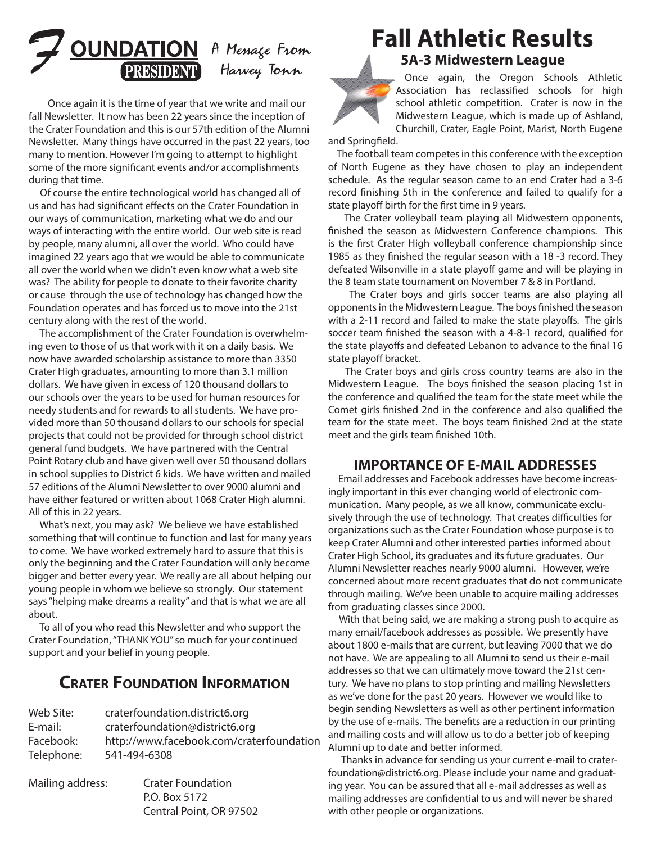

Once again it is the time of year that we write and mail our fall Newsletter. It now has been 22 years since the inception of the Crater Foundation and this is our 57th edition of the Alumni Newsletter. Many things have occurred in the past 22 years, too many to mention. However I'm going to attempt to highlight some of the more significant events and/or accomplishments during that time.

 Of course the entire technological world has changed all of us and has had significant effects on the Crater Foundation in our ways of communication, marketing what we do and our ways of interacting with the entire world. Our web site is read by people, many alumni, all over the world. Who could have imagined 22 years ago that we would be able to communicate all over the world when we didn't even know what a web site was? The ability for people to donate to their favorite charity or cause through the use of technology has changed how the Foundation operates and has forced us to move into the 21st century along with the rest of the world.

 The accomplishment of the Crater Foundation is overwhelming even to those of us that work with it on a daily basis. We now have awarded scholarship assistance to more than 3350 Crater High graduates, amounting to more than 3.1 million dollars. We have given in excess of 120 thousand dollars to our schools over the years to be used for human resources for needy students and for rewards to all students. We have provided more than 50 thousand dollars to our schools for special projects that could not be provided for through school district general fund budgets. We have partnered with the Central Point Rotary club and have given well over 50 thousand dollars in school supplies to District 6 kids. We have written and mailed 57 editions of the Alumni Newsletter to over 9000 alumni and have either featured or written about 1068 Crater High alumni. All of this in 22 years.

 What's next, you may ask? We believe we have established something that will continue to function and last for many years to come. We have worked extremely hard to assure that this is only the beginning and the Crater Foundation will only become bigger and better every year. We really are all about helping our young people in whom we believe so strongly. Our statement says "helping make dreams a reality" and that is what we are all about.

 To all of you who read this Newsletter and who support the Crater Foundation, "THANK YOU" so much for your continued support and your belief in young people.

## **Crater Foundation Information**

| Web Site:  | craterfoundation.district6.org           |
|------------|------------------------------------------|
| E-mail:    | craterfoundation@district6.org           |
| Facebook:  | http://www.facebook.com/craterfoundation |
| Telephone: | 541-494-6308                             |
|            |                                          |

Mailing address: Crater Foundation P.O. Box 5172 Central Point, OR 97502

# **Fall Athletic Results**

**5A-3 Midwestern League**



Once again, the Oregon Schools Athletic Association has reclassified schools for high school athletic competition. Crater is now in the Midwestern League, which is made up of Ashland, Churchill, Crater, Eagle Point, Marist, North Eugene

and Springfield.

 The football team competes in this conference with the exception of North Eugene as they have chosen to play an independent schedule. As the regular season came to an end Crater had a 3-6 record finishing 5th in the conference and failed to qualify for a state playoff birth for the first time in 9 years.

 The Crater volleyball team playing all Midwestern opponents, finished the season as Midwestern Conference champions. This is the first Crater High volleyball conference championship since 1985 as they finished the regular season with a 18 -3 record. They defeated Wilsonville in a state playoff game and will be playing in the 8 team state tournament on November 7 & 8 in Portland.

 The Crater boys and girls soccer teams are also playing all opponents in the Midwestern League. The boys finished the season with a 2-11 record and failed to make the state playoffs. The girls soccer team finished the season with a 4-8-1 record, qualified for the state playoffs and defeated Lebanon to advance to the final 16 state playoff bracket.

 The Crater boys and girls cross country teams are also in the Midwestern League. The boys finished the season placing 1st in the conference and qualified the team for the state meet while the Comet girls finished 2nd in the conference and also qualified the team for the state meet. The boys team finished 2nd at the state meet and the girls team finished 10th.

### **IMPORTANCE OF E-MAIL ADDRESSES**

 Email addresses and Facebook addresses have become increasingly important in this ever changing world of electronic communication. Many people, as we all know, communicate exclusively through the use of technology. That creates difficulties for organizations such as the Crater Foundation whose purpose is to keep Crater Alumni and other interested parties informed about Crater High School, its graduates and its future graduates. Our Alumni Newsletter reaches nearly 9000 alumni. However, we're concerned about more recent graduates that do not communicate through mailing. We've been unable to acquire mailing addresses from graduating classes since 2000.

 With that being said, we are making a strong push to acquire as many email/facebook addresses as possible. We presently have about 1800 e-mails that are current, but leaving 7000 that we do not have. We are appealing to all Alumni to send us their e-mail addresses so that we can ultimately move toward the 21st century. We have no plans to stop printing and mailing Newsletters as we've done for the past 20 years. However we would like to begin sending Newsletters as well as other pertinent information by the use of e-mails. The benefits are a reduction in our printing and mailing costs and will allow us to do a better job of keeping Alumni up to date and better informed.

 Thanks in advance for sending us your current e-mail to craterfoundation@district6.org. Please include your name and graduating year. You can be assured that all e-mail addresses as well as mailing addresses are confidential to us and will never be shared with other people or organizations.